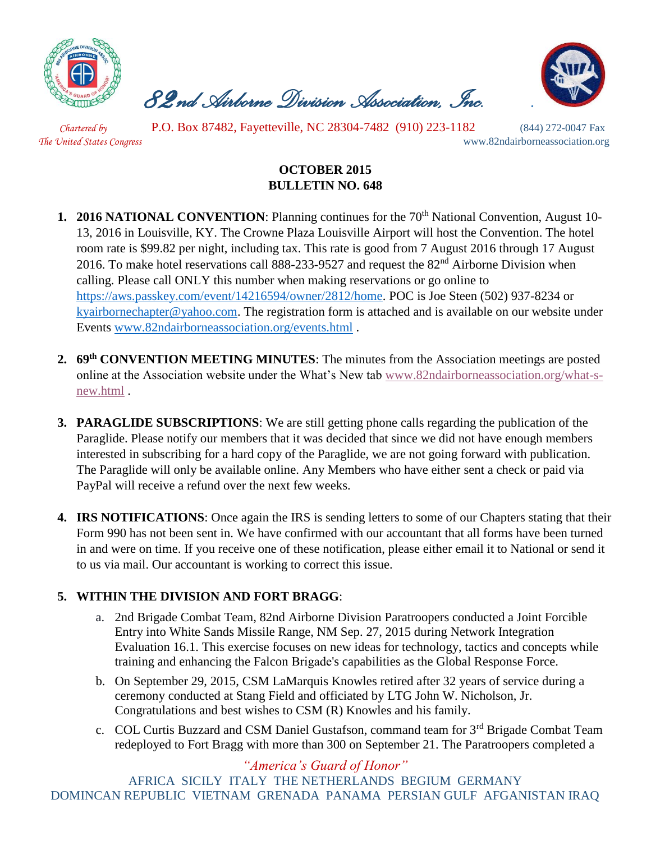

 *82nd Airborne Division Association, Inc. .* 



 *Chartered by* P.O. Box 87482, Fayetteville, NC 28304-7482 (910) 223-1182 (844) 272-0047 Fax *The United States Congress* www.82ndairborneassociation.org

## **OCTOBER 2015 BULLETIN NO. 648**

- **1. 2016 NATIONAL CONVENTION:** Planning continues for the 70<sup>th</sup> National Convention, August 10-13, 2016 in Louisville, KY. The Crowne Plaza Louisville Airport will host the Convention. The hotel room rate is \$99.82 per night, including tax. This rate is good from 7 August 2016 through 17 August 2016. To make hotel reservations call  $888-233-9527$  and request the  $82<sup>nd</sup>$  Airborne Division when calling. Please call ONLY this number when making reservations or go online to [https://aws.passkey.com/event/14216594/owner/2812/home.](https://aws.passkey.com/event/14216594/owner/2812/home) POC is Joe Steen (502) 937-8234 or [kyairbornechapter@yahoo.com.](mailto:kyairbornechapter@yahoo.com) The registration form is attached and is available on our website under Events [www.82ndairborneassociation.org/events.html](http://www.82ndairborneassociation.org/events.html) .
- **2. 69th CONVENTION MEETING MINUTES**: The minutes from the Association meetings are posted online at the Association website under the What's New tab [www.82ndairborneassociation.org/what-s](http://www.82ndairborneassociation.org/what-s-new.html)[new.html](http://www.82ndairborneassociation.org/what-s-new.html) .
- **3. PARAGLIDE SUBSCRIPTIONS**: We are still getting phone calls regarding the publication of the Paraglide. Please notify our members that it was decided that since we did not have enough members interested in subscribing for a hard copy of the Paraglide, we are not going forward with publication. The Paraglide will only be available online. Any Members who have either sent a check or paid via PayPal will receive a refund over the next few weeks.
- **4. IRS NOTIFICATIONS**: Once again the IRS is sending letters to some of our Chapters stating that their Form 990 has not been sent in. We have confirmed with our accountant that all forms have been turned in and were on time. If you receive one of these notification, please either email it to National or send it to us via mail. Our accountant is working to correct this issue.

## **5. WITHIN THE DIVISION AND FORT BRAGG**:

- a. [2nd Brigade Combat Team, 82nd Airborne Division](https://www.facebook.com/FalconBrigade) Paratroopers conducted a Joint Forcible Entry into White Sands Missile Range, NM Sep. 27, 2015 during Network Integration Evaluation 16.1. This exercise focuses on new ideas for technology, tactics and concepts while training and enhancing the [Falcon Brigade's](https://www.facebook.com/hashtag/falconbrigade?source=feed_text&story_id=10156112125125387) capabilities as the Global Response Force.
- b. On September 29, 2015, CSM LaMarquis Knowles retired after 32 years of service during a ceremony conducted at Stang Field and officiated by LTG John W. Nicholson, Jr. Congratulations and best wishes to CSM (R) Knowles and his family.
- c. COL Curtis Buzzard and CSM Daniel Gustafson, command team for 3<sup>rd</sup> Brigade Combat Team redeployed to Fort Bragg with more than 300 on September 21. The Paratroopers completed a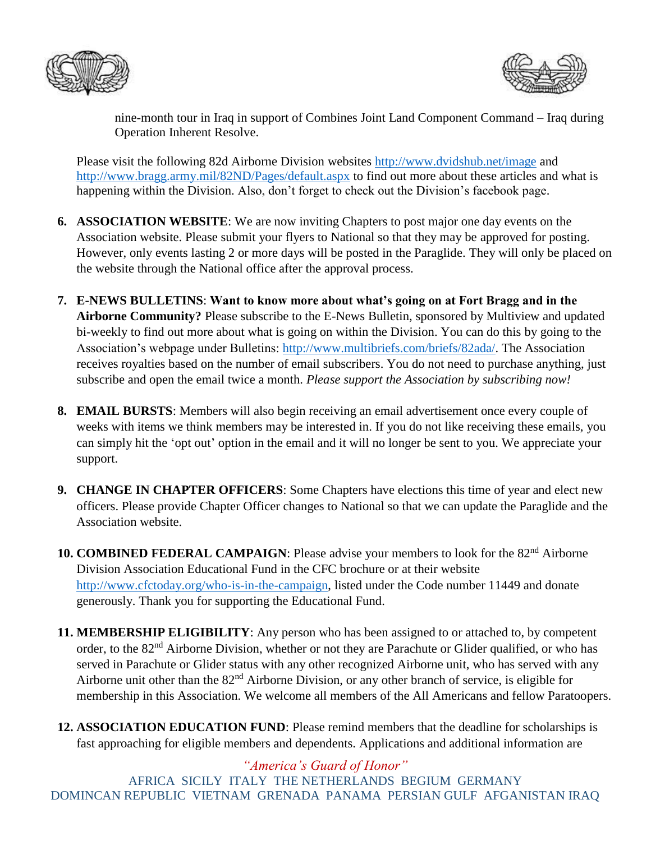



nine-month tour in Iraq in support of Combines Joint Land Component Command – Iraq during Operation Inherent Resolve.

Please visit the following 82d Airborne Division websites<http://www.dvidshub.net/image> and <http://www.bragg.army.mil/82ND/Pages/default.aspx> to find out more about these articles and what is happening within the Division. Also, don't forget to check out the Division's facebook page.

- **6. ASSOCIATION WEBSITE**: We are now inviting Chapters to post major one day events on the Association website. Please submit your flyers to National so that they may be approved for posting. However, only events lasting 2 or more days will be posted in the Paraglide. They will only be placed on the website through the National office after the approval process.
- **7. E-NEWS BULLETINS**: **Want to know more about what's going on at Fort Bragg and in the Airborne Community?** Please subscribe to the E-News Bulletin, sponsored by Multiview and updated bi-weekly to find out more about what is going on within the Division. You can do this by going to the Association's webpage under Bulletins: [http://www.multibriefs.com/briefs/82ada/.](http://www.multibriefs.com/briefs/82ada/) The Association receives royalties based on the number of email subscribers. You do not need to purchase anything, just subscribe and open the email twice a month. *Please support the Association by subscribing now!*
- **8. EMAIL BURSTS**: Members will also begin receiving an email advertisement once every couple of weeks with items we think members may be interested in. If you do not like receiving these emails, you can simply hit the 'opt out' option in the email and it will no longer be sent to you. We appreciate your support.
- **9. CHANGE IN CHAPTER OFFICERS**: Some Chapters have elections this time of year and elect new officers. Please provide Chapter Officer changes to National so that we can update the Paraglide and the Association website.
- **10. COMBINED FEDERAL CAMPAIGN:** Please advise your members to look for the 82<sup>nd</sup> Airborne Division Association Educational Fund in the CFC brochure or at their website [http://www.cfctoday.org/who-is-in-the-campaign,](http://www.cfctoday.org/who-is-in-the-campaign) listed under the Code number 11449 and donate generously. Thank you for supporting the Educational Fund.
- **11. MEMBERSHIP ELIGIBILITY**: Any person who has been assigned to or attached to, by competent order, to the 82<sup>nd</sup> Airborne Division, whether or not they are Parachute or Glider qualified, or who has served in Parachute or Glider status with any other recognized Airborne unit, who has served with any Airborne unit other than the 82nd Airborne Division, or any other branch of service, is eligible for membership in this Association. We welcome all members of the All Americans and fellow Paratoopers.
- **12. ASSOCIATION EDUCATION FUND**: Please remind members that the deadline for scholarships is fast approaching for eligible members and dependents. Applications and additional information are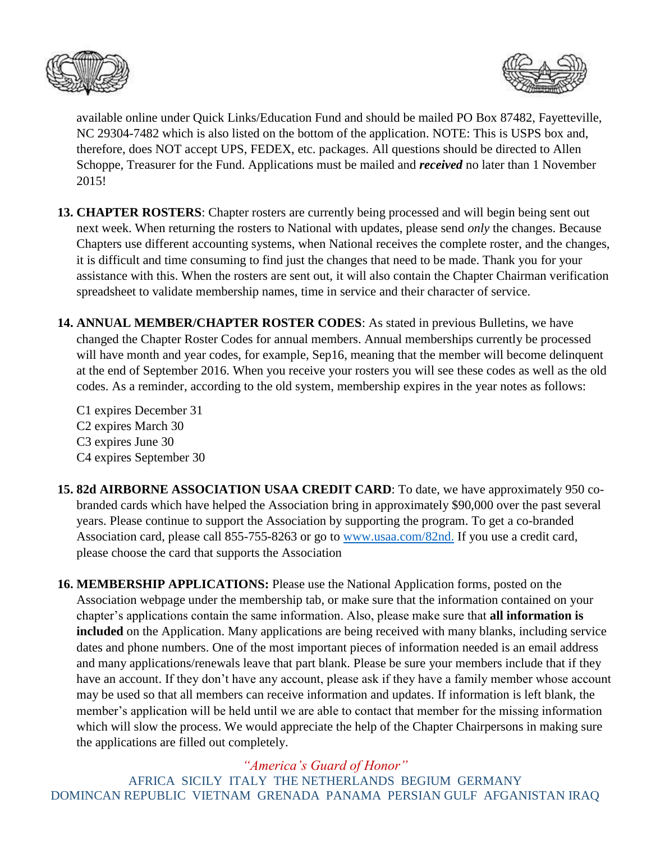



available online under Quick Links/Education Fund and should be mailed PO Box 87482, Fayetteville, NC 29304-7482 which is also listed on the bottom of the application. NOTE: This is USPS box and, therefore, does NOT accept UPS, FEDEX, etc. packages. All questions should be directed to Allen Schoppe, Treasurer for the Fund. Applications must be mailed and *received* no later than 1 November 2015!

- **13. CHAPTER ROSTERS**: Chapter rosters are currently being processed and will begin being sent out next week. When returning the rosters to National with updates, please send *only* the changes. Because Chapters use different accounting systems, when National receives the complete roster, and the changes, it is difficult and time consuming to find just the changes that need to be made. Thank you for your assistance with this. When the rosters are sent out, it will also contain the Chapter Chairman verification spreadsheet to validate membership names, time in service and their character of service.
- **14. ANNUAL MEMBER/CHAPTER ROSTER CODES**: As stated in previous Bulletins, we have changed the Chapter Roster Codes for annual members. Annual memberships currently be processed will have month and year codes, for example, Sep16, meaning that the member will become delinquent at the end of September 2016. When you receive your rosters you will see these codes as well as the old codes. As a reminder, according to the old system, membership expires in the year notes as follows:
	- C1 expires December 31 C2 expires March 30 C3 expires June 30 C4 expires September 30
- **15. 82d AIRBORNE ASSOCIATION USAA CREDIT CARD**: To date, we have approximately 950 cobranded cards which have helped the Association bring in approximately \$90,000 over the past several years. Please continue to support the Association by supporting the program. To get a co-branded Association card, please call 855-755-8263 or go to [www.usaa.com/82nd.](http://www.usaa.com/82nd) If you use a credit card, please choose the card that supports the Association
- **16. MEMBERSHIP APPLICATIONS:** Please use the National Application forms, posted on the Association webpage under the membership tab, or make sure that the information contained on your chapter's applications contain the same information. Also, please make sure that **all information is included** on the Application. Many applications are being received with many blanks, including service dates and phone numbers. One of the most important pieces of information needed is an email address and many applications/renewals leave that part blank. Please be sure your members include that if they have an account. If they don't have any account, please ask if they have a family member whose account may be used so that all members can receive information and updates. If information is left blank, the member's application will be held until we are able to contact that member for the missing information which will slow the process. We would appreciate the help of the Chapter Chairpersons in making sure the applications are filled out completely.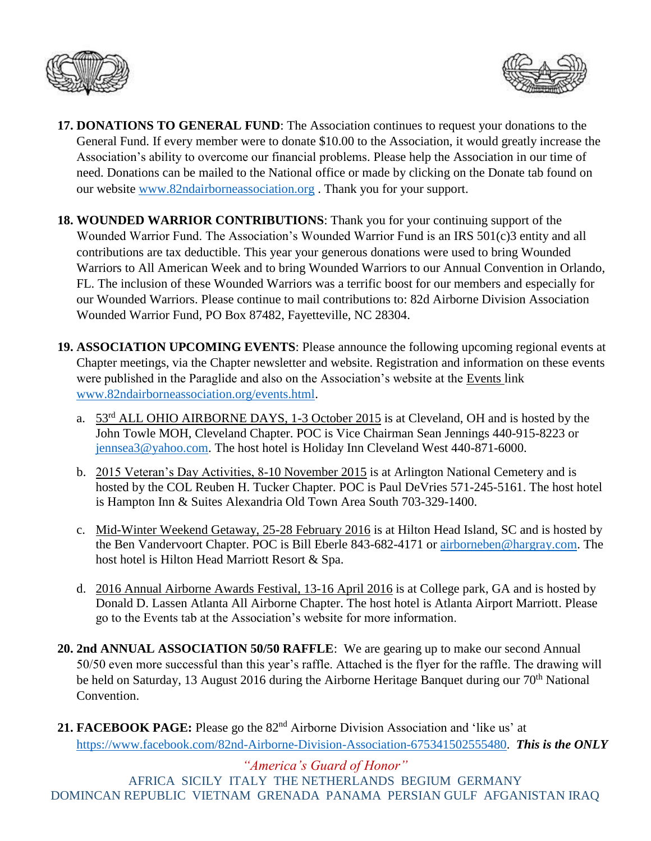



- **17. DONATIONS TO GENERAL FUND**: The Association continues to request your donations to the General Fund. If every member were to donate \$10.00 to the Association, it would greatly increase the Association's ability to overcome our financial problems. Please help the Association in our time of need. Donations can be mailed to the National office or made by clicking on the Donate tab found on our website [www.82ndairborneassociation.org](http://www.82ndairborneassociation.org/) . Thank you for your support.
- **18. WOUNDED WARRIOR CONTRIBUTIONS**: Thank you for your continuing support of the Wounded Warrior Fund. The Association's Wounded Warrior Fund is an IRS 501(c)3 entity and all contributions are tax deductible. This year your generous donations were used to bring Wounded Warriors to All American Week and to bring Wounded Warriors to our Annual Convention in Orlando, FL. The inclusion of these Wounded Warriors was a terrific boost for our members and especially for our Wounded Warriors. Please continue to mail contributions to: 82d Airborne Division Association Wounded Warrior Fund, PO Box 87482, Fayetteville, NC 28304.
- **19. ASSOCIATION UPCOMING EVENTS**: Please announce the following upcoming regional events at Chapter meetings, via the Chapter newsletter and website. Registration and information on these events were published in the Paraglide and also on the Association's website at the Events link [www.82ndairborneassociation.org/events.html.](http://www.82ndairborneassociation.org/events.html)
	- a. 53<sup>rd</sup> ALL OHIO AIRBORNE DAYS, 1-3 October 2015 is at Cleveland, OH and is hosted by the John Towle MOH, Cleveland Chapter. POC is Vice Chairman Sean Jennings 440-915-8223 or [jennsea3@yahoo.com.](mailto:jennsea3@yahoo.com) The host hotel is Holiday Inn Cleveland West 440-871-6000.
	- b. 2015 Veteran's Day Activities, 8-10 November 2015 is at Arlington National Cemetery and is hosted by the COL Reuben H. Tucker Chapter. POC is Paul DeVries 571-245-5161. The host hotel is Hampton Inn & Suites Alexandria Old Town Area South 703-329-1400.
	- c. Mid-Winter Weekend Getaway, 25-28 February 2016 is at Hilton Head Island, SC and is hosted by the Ben Vandervoort Chapter. POC is Bill Eberle 843-682-4171 or [airborneben@hargray.com.](mailto:airborneben@hargray.com) The host hotel is Hilton Head Marriott Resort & Spa.
	- d. 2016 Annual Airborne Awards Festival, 13-16 April 2016 is at College park, GA and is hosted by Donald D. Lassen Atlanta All Airborne Chapter. The host hotel is Atlanta Airport Marriott. Please go to the Events tab at the Association's website for more information.
- **20. 2nd ANNUAL ASSOCIATION 50/50 RAFFLE**: We are gearing up to make our second Annual 50/50 even more successful than this year's raffle. Attached is the flyer for the raffle. The drawing will be held on Saturday, 13 August 2016 during the Airborne Heritage Banquet during our 70<sup>th</sup> National Convention.
- 21. **FACEBOOK PAGE:** Please go the 82<sup>nd</sup> Airborne Division Association and 'like us' at [https://www.facebook.com/82nd-Airborne-Division-Association-675341502555480.](https://www.facebook.com/82nd-Airborne-Division-Association-675341502555480) *This is the ONLY*